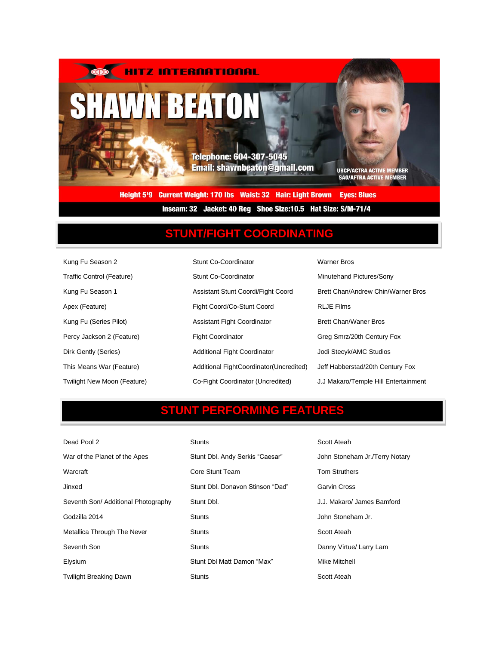

Inseam: 32 Jacket: 40 Reg Shoe Size: 10.5 Hat Size: S/M-71/4

## **STUNT/FIGHT COORDINATING**

| Kung Fu Season 2                   | Stunt Co-Coordinator                     | <b>Warner Bros</b>                   |
|------------------------------------|------------------------------------------|--------------------------------------|
| Traffic Control (Feature)          | Stunt Co-Coordinator                     | Minutehand Pictures/Sony             |
| Kung Fu Season 1                   | Assistant Stunt Coordi/Fight Coord       | Brett Chan/Andrew Chin/Warner Bros   |
| Apex (Feature)                     | Fight Coord/Co-Stunt Coord               | <b>RLJE Films</b>                    |
| Kung Fu (Series Pilot)             | <b>Assistant Fight Coordinator</b>       | <b>Brett Chan/Waner Bros</b>         |
| Percy Jackson 2 (Feature)          | <b>Fight Coordinator</b>                 | Greg Smrz/20th Century Fox           |
| Dirk Gently (Series)               | <b>Additional Fight Coordinator</b>      | Jodi Stecyk/AMC Studios              |
| This Means War (Feature)           | Additional FightCoordinator (Uncredited) | Jeff Habberstad/20th Century Fox     |
| <b>Twilight New Moon (Feature)</b> | Co-Fight Coordinator (Uncredited)        | J.J Makaro/Temple Hill Entertainment |

### **STUNT PERFORMING FEATURES**

| Dead Pool 2                         | <b>Stunts</b>                    | Scott Ateah                    |  |
|-------------------------------------|----------------------------------|--------------------------------|--|
| War of the Planet of the Apes       | Stunt Dbl. Andy Serkis "Caesar"  | John Stoneham Jr./Terry Notary |  |
| Warcraft                            | Core Stunt Team                  | <b>Tom Struthers</b>           |  |
| Jinxed                              | Stunt Dbl. Donavon Stinson "Dad" | Garvin Cross                   |  |
| Seventh Son/ Additional Photography | Stunt Dbl.                       | J.J. Makaro/ James Bamford     |  |
| Godzilla 2014                       | <b>Stunts</b>                    | John Stoneham Jr.              |  |
| Metallica Through The Never         | <b>Stunts</b>                    | Scott Ateah                    |  |
| Seventh Son                         | <b>Stunts</b>                    | Danny Virtue/ Larry Lam        |  |
| Elysium                             | Stunt Dbl Matt Damon "Max"       | Mike Mitchell                  |  |
| Twilight Breaking Dawn              | <b>Stunts</b>                    | Scott Ateah                    |  |
|                                     |                                  |                                |  |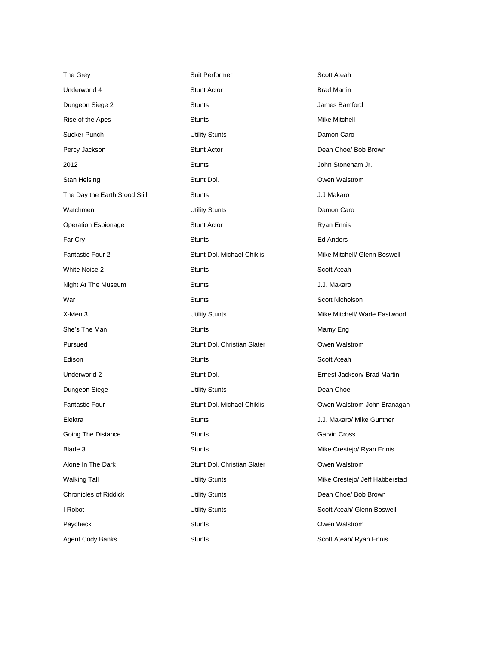| The Grey                      | Suit Performer                 | Scott Ateah                    |  |
|-------------------------------|--------------------------------|--------------------------------|--|
| Underworld 4                  | <b>Stunt Actor</b>             | <b>Brad Martin</b>             |  |
| Dungeon Siege 2               | <b>Stunts</b>                  | James Bamford                  |  |
| Rise of the Apes              | <b>Stunts</b><br>Mike Mitchell |                                |  |
| Sucker Punch                  | <b>Utility Stunts</b>          | Damon Caro                     |  |
| Percy Jackson                 | <b>Stunt Actor</b>             | Dean Choe/ Bob Brown           |  |
| 2012                          | <b>Stunts</b>                  | John Stoneham Jr.              |  |
| Stan Helsing                  | Stunt Dbl.                     | Owen Walstrom                  |  |
| The Day the Earth Stood Still | <b>Stunts</b>                  | J.J Makaro                     |  |
| Watchmen                      | <b>Utility Stunts</b>          | Damon Caro                     |  |
| <b>Operation Espionage</b>    | <b>Stunt Actor</b>             | Ryan Ennis                     |  |
| Far Cry                       | <b>Stunts</b>                  | <b>Ed Anders</b>               |  |
| Fantastic Four 2              | Stunt Dbl. Michael Chiklis     | Mike Mitchell/ Glenn Boswell   |  |
| White Noise 2                 | <b>Stunts</b>                  | Scott Ateah                    |  |
| Night At The Museum           | <b>Stunts</b>                  | J.J. Makaro                    |  |
| War                           | <b>Stunts</b>                  | Scott Nicholson                |  |
| X-Men 3                       | <b>Utility Stunts</b>          | Mike Mitchell/ Wade Eastwood   |  |
| She's The Man                 | <b>Stunts</b>                  | Marny Eng                      |  |
| Pursued                       | Stunt Dbl. Christian Slater    | Owen Walstrom                  |  |
| Edison                        | <b>Stunts</b>                  | Scott Ateah                    |  |
| Underworld 2                  | Stunt Dbl.                     | Ernest Jackson/ Brad Martin    |  |
| Dungeon Siege                 | <b>Utility Stunts</b>          | Dean Choe                      |  |
| <b>Fantastic Four</b>         | Stunt Dbl. Michael Chiklis     | Owen Walstrom John Branagan    |  |
| Elektra                       | <b>Stunts</b>                  | J.J. Makaro/ Mike Gunther      |  |
| Going The Distance            | <b>Stunts</b>                  | Garvin Cross                   |  |
| Blade 3                       | <b>Stunts</b>                  | Mike Crestejo/ Ryan Ennis      |  |
| Alone In The Dark             | Stunt Dbl. Christian Slater    | Owen Walstrom                  |  |
| <b>Walking Tall</b>           | <b>Utility Stunts</b>          | Mike Crestejo/ Jeff Habberstad |  |
| <b>Chronicles of Riddick</b>  | <b>Utility Stunts</b>          | Dean Choe/ Bob Brown           |  |
| I Robot                       | <b>Utility Stunts</b>          | Scott Ateah/ Glenn Boswell     |  |
| Paycheck                      | <b>Stunts</b>                  | Owen Walstrom                  |  |
| Agent Cody Banks              | <b>Stunts</b>                  | Scott Ateah/ Ryan Ennis        |  |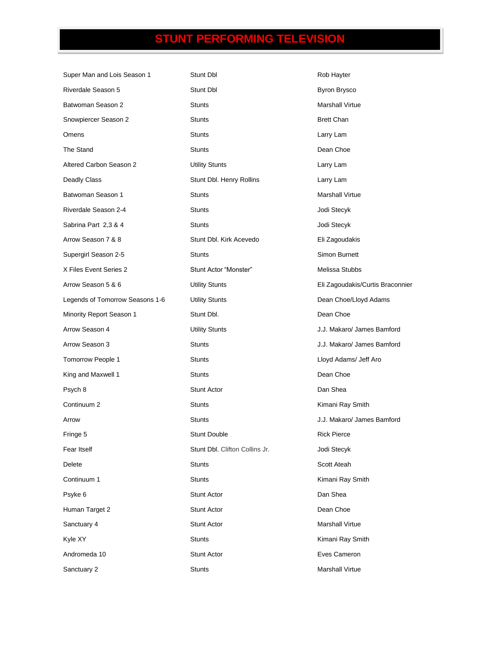# **STUNT PERFORMING TELEVISION**

| Super Man and Lois Season 1     | Stunt Dbl                      | Rob Hayter                       |  |
|---------------------------------|--------------------------------|----------------------------------|--|
| Riverdale Season 5              | Stunt Dbl                      | <b>Byron Brysco</b>              |  |
| Batwoman Season 2               | <b>Stunts</b>                  | <b>Marshall Virtue</b>           |  |
| Snowpiercer Season 2            | <b>Stunts</b>                  | <b>Brett Chan</b>                |  |
| Omens                           | <b>Stunts</b>                  | Larry Lam                        |  |
| The Stand                       | <b>Stunts</b>                  | Dean Choe                        |  |
| Altered Carbon Season 2         | <b>Utility Stunts</b>          | Larry Lam                        |  |
| Deadly Class                    | Stunt Dbl. Henry Rollins       | Larry Lam                        |  |
| Batwoman Season 1               | <b>Stunts</b>                  | <b>Marshall Virtue</b>           |  |
| Riverdale Season 2-4            | <b>Stunts</b>                  | Jodi Stecyk                      |  |
| Sabrina Part 2,3 & 4            | <b>Stunts</b>                  | Jodi Stecyk                      |  |
| Arrow Season 7 & 8              | Stunt Dbl. Kirk Acevedo        | Eli Zagoudakis                   |  |
| Supergirl Season 2-5            | <b>Stunts</b>                  | Simon Burnett                    |  |
| X Files Event Series 2          | Stunt Actor "Monster"          | Melissa Stubbs                   |  |
| Arrow Season 5 & 6              | <b>Utility Stunts</b>          | Eli Zagoudakis/Curtis Braconnier |  |
| Legends of Tomorrow Seasons 1-6 | <b>Utility Stunts</b>          | Dean Choe/Lloyd Adams            |  |
| Minority Report Season 1        | Stunt Dbl.                     | Dean Choe                        |  |
| Arrow Season 4                  | <b>Utility Stunts</b>          | J.J. Makaro/ James Bamford       |  |
| Arrow Season 3                  | <b>Stunts</b>                  | J.J. Makaro/ James Bamford       |  |
| Tomorrow People 1               | <b>Stunts</b>                  | Lloyd Adams/ Jeff Aro            |  |
| King and Maxwell 1              | <b>Stunts</b>                  | Dean Choe                        |  |
| Psych 8                         | <b>Stunt Actor</b>             | Dan Shea                         |  |
| Continuum 2                     | <b>Stunts</b>                  | Kimani Ray Smith                 |  |
| Arrow                           | <b>Stunts</b>                  | J.J. Makaro/ James Bamford       |  |
| Fringe 5                        | <b>Stunt Double</b>            | <b>Rick Pierce</b>               |  |
| Fear Itself                     | Stunt Dbl. Clifton Collins Jr. | Jodi Stecyk                      |  |
| Delete                          | <b>Stunts</b>                  | Scott Ateah                      |  |
| Continuum 1                     | <b>Stunts</b>                  | Kimani Ray Smith                 |  |
| Psyke 6                         | Stunt Actor                    | Dan Shea                         |  |
| Human Target 2                  | Stunt Actor                    | Dean Choe                        |  |
| Sanctuary 4                     | Stunt Actor                    | <b>Marshall Virtue</b>           |  |
| Kyle XY                         | Stunts                         | Kimani Ray Smith                 |  |
| Andromeda 10                    | Stunt Actor                    | Eves Cameron                     |  |
| Sanctuary 2                     | <b>Stunts</b>                  | <b>Marshall Virtue</b>           |  |